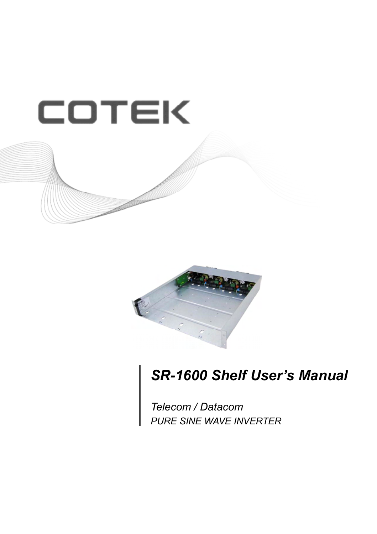



# *SR-1600 Shelf User's Manual*

*PURE SINE WAVE INVERTER Telecom / Datacom*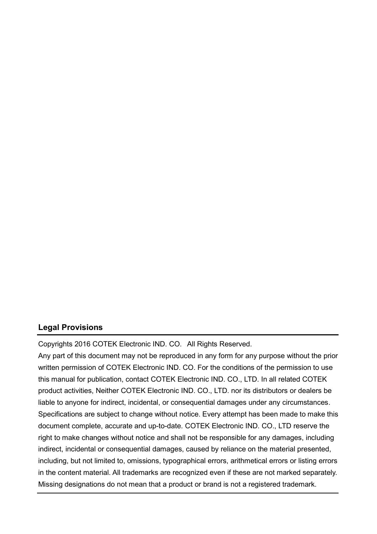#### **Legal Provisions**

Copyrights 2016 COTEK Electronic IND. CO. All Rights Reserved.

Any part of this document may not be reproduced in any form for any purpose without the prior written permission of COTEK Electronic IND. CO. For the conditions of the permission to use this manual for publication, contact COTEK Electronic IND. CO., LTD. In all related COTEK product activities, Neither COTEK Electronic IND. CO., LTD. nor its distributors or dealers be liable to anyone for indirect, incidental, or consequential damages under any circumstances. Specifications are subject to change without notice. Every attempt has been made to make this document complete, accurate and up-to-date. COTEK Electronic IND. CO., LTD reserve the right to make changes without notice and shall not be responsible for any damages, including indirect, incidental or consequential damages, caused by reliance on the material presented, including, but not limited to, omissions, typographical errors, arithmetical errors or listing errors in the content material. All trademarks are recognized even if these are not marked separately. Missing designations do not mean that a product or brand is not a registered trademark.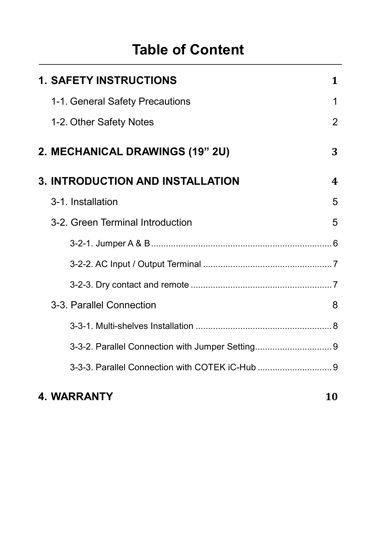# **Table of Content**

| <b>1. SAFETY INSTRUCTIONS</b>          | 1                |
|----------------------------------------|------------------|
| 1-1. General Safety Precautions        | 1                |
| 1-2. Other Safety Notes                | $\overline{2}$   |
| <b>2. MECHANICAL DRAWINGS (19" 2U)</b> | 3                |
| 3. INTRODUCTION AND INSTALLATION       | $\boldsymbol{4}$ |
| 3-1. Installation                      | 5                |
| 3-2. Green Terminal Introduction       | 5                |
|                                        |                  |
|                                        |                  |
|                                        |                  |
| 3-3. Parallel Connection               | 8                |
|                                        |                  |
|                                        |                  |
|                                        |                  |
|                                        |                  |

## **4. WARRANTY 10**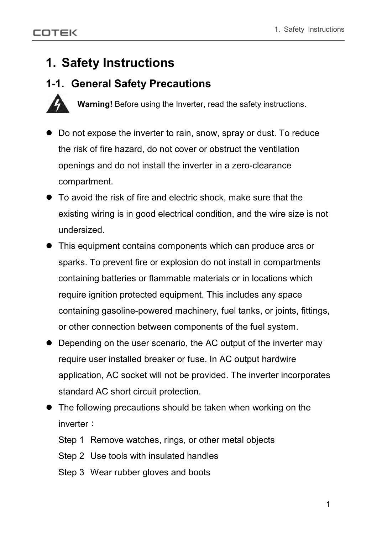## **1. Safety Instructions**

## **1-1. General Safety Precautions**



**Warning!** Before using the Inverter, read the safety instructions.

- $\bullet$  Do not expose the inverter to rain, snow, spray or dust. To reduce the risk of fire hazard, do not cover or obstruct the ventilation openings and do not install the inverter in a zero-clearance compartment.
- $\bullet$  To avoid the risk of fire and electric shock, make sure that the existing wiring is in good electrical condition, and the wire size is not undersized.
- This equipment contains components which can produce arcs or sparks. To prevent fire or explosion do not install in compartments containing batteries or flammable materials or in locations which require ignition protected equipment. This includes any space containing gasoline-powered machinery, fuel tanks, or joints, fittings, or other connection between components of the fuel system.
- Depending on the user scenario, the AC output of the inverter may require user installed breaker or fuse. In AC output hardwire application, AC socket will not be provided. The inverter incorporates standard AC short circuit protection.
- $\bullet$  The following precautions should be taken when working on the inverter
	- Step 1 Remove watches, rings, or other metal objects
	- Step 2 Use tools with insulated handles
	- Step 3 Wear rubber gloves and boots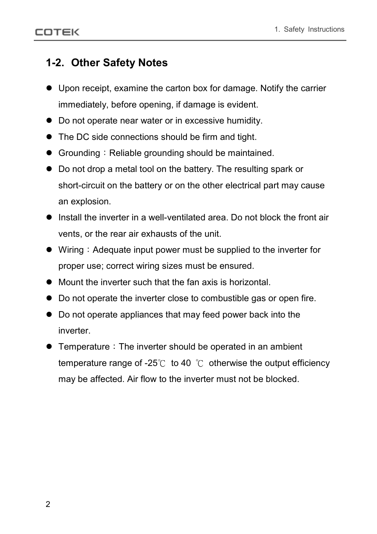## **1-2. Other Safety Notes**

- $\bullet$  Upon receipt, examine the carton box for damage. Notify the carrier immediately, before opening, if damage is evident.
- Do not operate near water or in excessive humidity.
- The DC side connections should be firm and tight.
- $\bullet$  Grounding : Reliable grounding should be maintained.
- Do not drop a metal tool on the battery. The resulting spark or short-circuit on the battery or on the other electrical part may cause an explosion.
- $\bullet$  Install the inverter in a well-ventilated area. Do not block the front air vents, or the rear air exhausts of the unit.
- $\bullet$  Wiring : Adequate input power must be supplied to the inverter for proper use; correct wiring sizes must be ensured.
- $\bullet$  Mount the inverter such that the fan axis is horizontal.
- Do not operate the inverter close to combustible gas or open fire.
- Do not operate appliances that may feed power back into the inverter.
- $\bullet$  Temperature : The inverter should be operated in an ambient temperature range of -25 $\degree$  to 40  $\degree$  otherwise the output efficiency may be affected. Air flow to the inverter must not be blocked.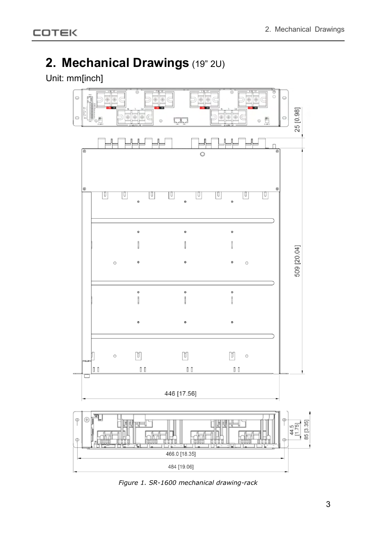## **2. Mechanical Drawings** (19" 2U)

### Unit: mm[inch]



*Figure 1. SR-1600 mechanical drawing-rack*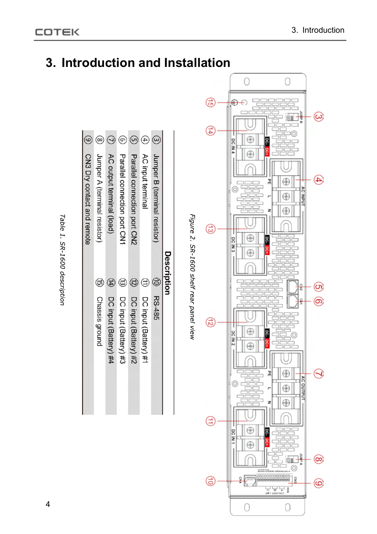



 $\circledcirc$ 

CN3 Dry contact and remote Jumper A (terminal resistor) AC output terminal (load) Parallel connection port CN1 Parallel connection port CN2

 $\bigcirc$ 

Chassis ground DC input (Battery) #4 DC input (Battery) #2 DC input (Battery) #1

DC input (Battery) #3

AC input terminal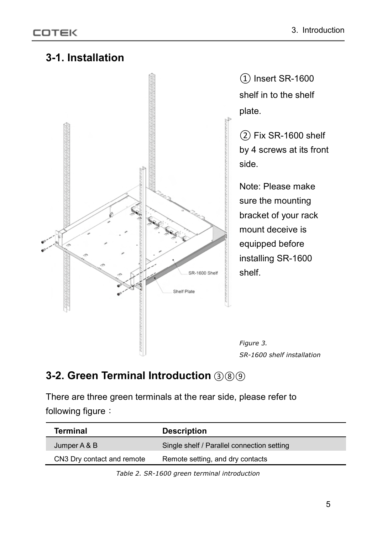



① Insert SR-1600 shelf in to the shelf plate.

② Fix SR-1600 shelf by 4 screws at its front side.

Note: Please make sure the mounting bracket of your rack mount deceive is equipped before installing SR-1600 shelf.

*Figure 3. SR-1600 shelf installation*

## **3-2. Green Terminal Introduction** ③⑧⑨

There are three green terminals at the rear side, please refer to following figure

| <b>Terminal</b>            | <b>Description</b>                         |
|----------------------------|--------------------------------------------|
| Jumper A & B               | Single shelf / Parallel connection setting |
| CN3 Dry contact and remote | Remote setting, and dry contacts           |

*Table 2. SR-1600 green terminal introduction*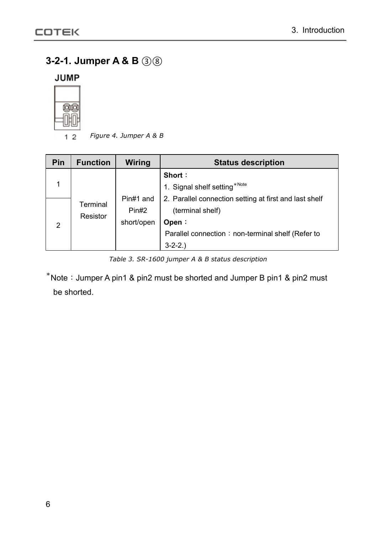### **3-2-1. Jumper A & B** ③⑧

**JUMP** 



*Figure 4. Jumper A & B*  $1<sub>2</sub>$ 

| Pin            | <b>Function</b>      | Wiring                           | <b>Status description</b>                                                           |  |
|----------------|----------------------|----------------------------------|-------------------------------------------------------------------------------------|--|
|                | Terminal<br>Resistor |                                  | Short:<br>1. Signal shelf setting*Note                                              |  |
| $\overline{2}$ |                      | Pin#1 and<br>Pin#2<br>short/open | 2. Parallel connection setting at first and last shelf<br>(terminal shelf)<br>Open: |  |
|                |                      |                                  | Parallel connection: non-terminal shelf (Refer to<br>$3-2-2.$                       |  |

*Table 3. SR-1600 jumper A & B status description*

 $*$  Note: Jumper A pin1 & pin2 must be shorted and Jumper B pin1 & pin2 must be shorted.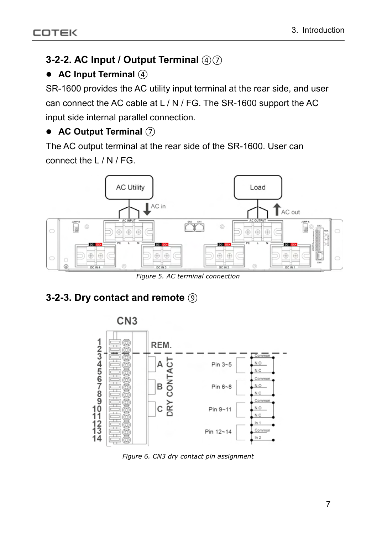### **3-2-2. AC Input / Output Terminal**  $\mathcal{A}(\mathcal{D})$

#### ● AC Input Terminal **4**

SR-1600 provides the AC utility input terminal at the rear side, and user can connect the AC cable at L / N / FG. The SR-1600 support the AC input side internal parallel connection.

### ● AC Output Terminal  $(7)$

The AC output terminal at the rear side of the SR-1600. User can connect the L / N / FG.



*Figure 5. AC terminal connection*

## **3-2-3. Dry contact and remote** ⑨



*Figure 6. CN3 dry contact pin assignment*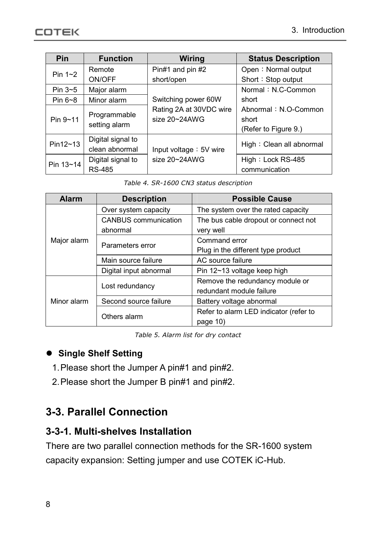| <b>Pin</b>    | <b>Function</b>                     | <b>Wiring</b>                                 | <b>Status Description</b>                             |  |
|---------------|-------------------------------------|-----------------------------------------------|-------------------------------------------------------|--|
| Pin $1~2$     | Remote                              | Pin#1 and pin #2                              | Open: Normal output                                   |  |
|               | ON/OFF                              | short/open                                    | Short: Stop output                                    |  |
| Pin $3\neg 5$ | Major alarm                         |                                               | Normal: N.C-Common                                    |  |
| Pin $6 - 8$   | Minor alarm                         | Switching power 60W                           | short                                                 |  |
| Pin 9~11      | Programmable<br>setting alarm       | Rating 2A at 30VDC wire<br>size $20 - 24$ AWG | Abnormal: N.O-Common<br>short<br>(Refer to Figure 9.) |  |
| Pin12~13      | Digital signal to<br>clean abnormal | Input voltage: 5V wire                        | High: Clean all abnormal                              |  |
| Pin 13~14     | Digital signal to<br><b>RS-485</b>  | size $20 - 24$ AWG                            | High: Lock RS-485<br>communication                    |  |

*Table 4. SR-1600 CN3 status description*

| <b>Alarm</b> | <b>Description</b>          | <b>Possible Cause</b>                                       |  |
|--------------|-----------------------------|-------------------------------------------------------------|--|
|              | Over system capacity        | The system over the rated capacity                          |  |
|              | <b>CANBUS</b> communication | The bus cable dropout or connect not                        |  |
|              | abnormal                    | very well                                                   |  |
| Major alarm  | Parameters error            | Command error                                               |  |
|              |                             | Plug in the different type product                          |  |
|              | Main source failure         | AC source failure                                           |  |
|              | Digital input abnormal      | Pin 12~13 voltage keep high                                 |  |
|              | Lost redundancy             | Remove the redundancy module or<br>redundant module failure |  |
| Minor alarm  | Second source failure       | Battery voltage abnormal                                    |  |
|              | Others alarm                | Refer to alarm LED indicator (refer to                      |  |
|              |                             | page 10)                                                    |  |

*Table 5. Alarm list for dry contact*

#### $\bullet$  Single Shelf Setting

- 1.Please short the Jumper A pin#1 and pin#2.
- 2.Please short the Jumper B pin#1 and pin#2.

### **3-3. Parallel Connection**

#### **3-3-1. Multi-shelves Installation**

There are two parallel connection methods for the SR-1600 system capacity expansion: Setting jumper and use COTEK iC-Hub.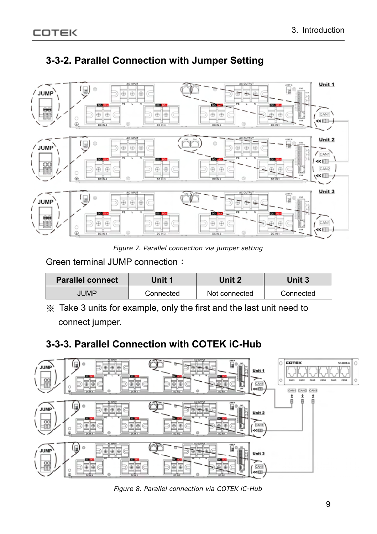

## **3-3-2. Parallel Connection with Jumper Setting**

*Figure 7. Parallel connection via jumper setting*

Green terminal JUMP connection

| <b>Parallel connect</b> | Unit 1    | Jnit $27$     | Unit 3    |
|-------------------------|-----------|---------------|-----------|
| <b>IUMP</b>             | Connected | Not connected | Connected |

Take 3 units for example, only the first and the last unit need to connect jumper.

## **3-3-3. Parallel Connection with COTEK iC-Hub**



*Figure 8. Parallel connection via COTEK iC-Hub*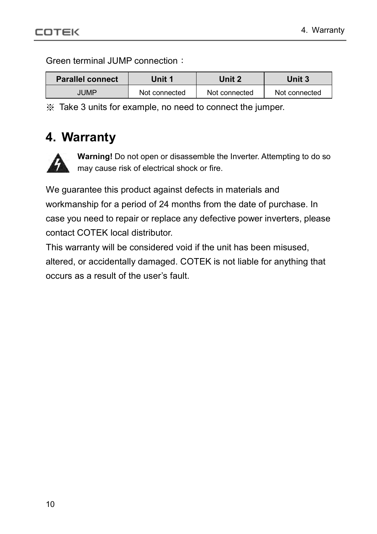Green terminal JUMP connection

| <b>Parallel connect</b> | Unit 1        | Unit 2        | Unit 3        |
|-------------------------|---------------|---------------|---------------|
| <b>JUMP</b>             | Not connected | Not connected | Not connected |

Take 3 units for example, no need to connect the jumper.

## **4. Warranty**



**Warning!** Do not open or disassemble the Inverter. Attempting to do so may cause risk of electrical shock or fire.

We guarantee this product against defects in materials and workmanship for a period of 24 months from the date of purchase. In case you need to repair or replace any defective power inverters, please contact COTEK local distributor.

This warranty will be considered void if the unit has been misused, altered, or accidentally damaged. COTEK is not liable for anything that occurs as a result of the user's fault.